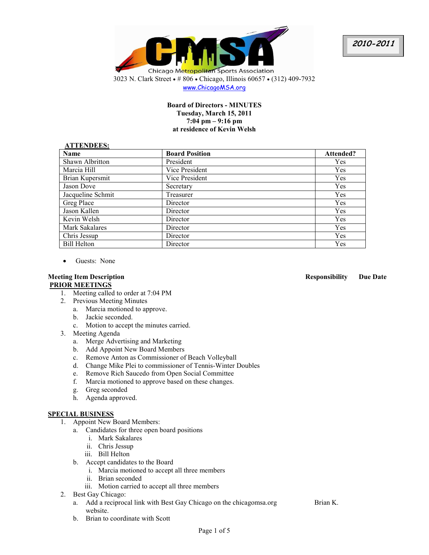**2010-2011**



www.ChicagoMSA.org

### **Board of Directors - MINUTES Tuesday, March 15, 2011 7:04 pm – 9:16 pm at residence of Kevin Welsh**

#### **ATTENDEES:**

| AT LENDEES:        |                       |            |  |  |
|--------------------|-----------------------|------------|--|--|
| <b>Name</b>        | <b>Board Position</b> | Attended?  |  |  |
| Shawn Albritton    | President             | Yes        |  |  |
| Marcia Hill        | Vice President        | Yes        |  |  |
| Brian Kupersmit    | Vice President        | Yes        |  |  |
| Jason Dove         | Secretary             | Yes        |  |  |
| Jacqueline Schmit  | Treasurer             | <b>Yes</b> |  |  |
| Greg Place         | Director              | <b>Yes</b> |  |  |
| Jason Kallen       | Director              | Yes        |  |  |
| Kevin Welsh        | Director              | Yes        |  |  |
| Mark Sakalares     | Director              | Yes        |  |  |
| Chris Jessup       | Director              | <b>Yes</b> |  |  |
| <b>Bill Helton</b> | Director              | <b>Yes</b> |  |  |

• Guests: None

# **PRIOR MEETINGS**

- 1. Meeting called to order at 7:04 PM
- 2. Previous Meeting Minutes
	- a. Marcia motioned to approve.
	- b. Jackie seconded.
	- c. Motion to accept the minutes carried.
- 3. Meeting Agenda
	- a. Merge Advertising and Marketing
	- b. Add Appoint New Board Members
	- c. Remove Anton as Commissioner of Beach Volleyball
	- d. Change Mike Plei to commissioner of Tennis-Winter Doubles
	- e. Remove Rich Saucedo from Open Social Committee
	- f. Marcia motioned to approve based on these changes.
	- g. Greg seconded
	- h. Agenda approved.

## **SPECIAL BUSINESS**

- 1. Appoint New Board Members:
	- a. Candidates for three open board positions
		- i. Mark Sakalares
		- ii. Chris Jessup
		- iii. Bill Helton
	- b. Accept candidates to the Board
		- i. Marcia motioned to accept all three members
		- ii. Brian seconded
		- iii. Motion carried to accept all three members
- 2. Best Gay Chicago:
	- a. Add a reciprocal link with Best Gay Chicago on the chicagomsa.org website.
	- b. Brian to coordinate with Scott

#### **Meeting Item Description Responsibility Due Date**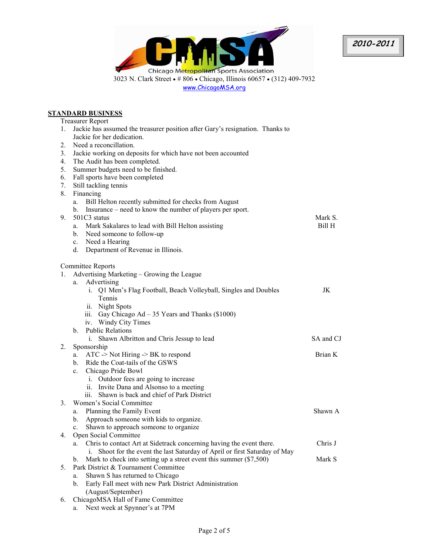

**ST** 

|          | <u>ANDARD BUSINESS</u>                                                        |           |  |
|----------|-------------------------------------------------------------------------------|-----------|--|
|          | <b>Treasurer Report</b>                                                       |           |  |
| 1.       | Jackie has assumed the treasurer position after Gary's resignation. Thanks to |           |  |
|          | Jackie for her dedication.                                                    |           |  |
| 2.       | Need a reconcillation.                                                        |           |  |
| 3.       | Jackie working on deposits for which have not been accounted                  |           |  |
| 4.<br>5. | The Audit has been completed.                                                 |           |  |
| 6.       | Summer budgets need to be finished.                                           |           |  |
| 7.       | Fall sports have been completed                                               |           |  |
| 8.       | Still tackling tennis<br>Financing                                            |           |  |
|          | Bill Helton recently submitted for checks from August<br>a.                   |           |  |
|          | b. Insurance – need to know the number of players per sport.                  |           |  |
| 9.       | 501C3 status                                                                  | Mark S.   |  |
|          | a. Mark Sakalares to lead with Bill Helton assisting                          | Bill H    |  |
|          | b. Need someone to follow-up                                                  |           |  |
|          | c. Need a Hearing                                                             |           |  |
|          | d. Department of Revenue in Illinois.                                         |           |  |
|          | <b>Committee Reports</b>                                                      |           |  |
| 1.       | Advertising Marketing – Growing the League                                    |           |  |
|          | Advertising<br>a.                                                             |           |  |
|          | i. Q1 Men's Flag Football, Beach Volleyball, Singles and Doubles              | JK        |  |
|          | Tennis                                                                        |           |  |
|          | ii. Night Spots                                                               |           |  |
|          | iii. Gay Chicago Ad $-35$ Years and Thanks (\$1000)                           |           |  |
|          | iv. Windy City Times                                                          |           |  |
|          | <b>Public Relations</b><br>$\mathbf{b}$                                       |           |  |
|          | i. Shawn Albritton and Chris Jessup to lead                                   | SA and CJ |  |
| 2.       | Sponsorship                                                                   |           |  |
|          | $ATC$ -> Not Hiring -> BK to respond<br>a.                                    | Brian K   |  |
|          | b. Ride the Coat-tails of the GSWS                                            |           |  |
|          | Chicago Pride Bowl<br>$c_{\cdot}$                                             |           |  |
|          | i. Outdoor fees are going to increase                                         |           |  |
|          | ii. Invite Dana and Alsonso to a meeting                                      |           |  |
|          | iii. Shawn is back and chief of Park District                                 |           |  |
| 3.       | Women's Social Committee                                                      |           |  |
|          | Planning the Family Event<br>a.                                               | Shawn A   |  |
|          | b. Approach someone with kids to organize.                                    |           |  |
| 4.       | Shawn to approach someone to organize<br>c.<br>Open Social Committee          |           |  |
|          | Chris to contact Art at Sidetrack concerning having the event there.<br>a.    | Chris J   |  |
|          | Shoot for the event the last Saturday of April or first Saturday of May<br>İ. |           |  |
|          | Mark to check into setting up a street event this summer $(\$7,500)$<br>b.    | Mark S    |  |
| 5.       | Park District & Tournament Committee                                          |           |  |
|          | Shawn S has returned to Chicago<br>a.                                         |           |  |
|          | Early Fall meet with new Park District Administration<br>b.                   |           |  |
|          | (August/September)                                                            |           |  |
| 6.       | ChicagoMSA Hall of Fame Committee                                             |           |  |

a. Next week at Spynner's at 7PM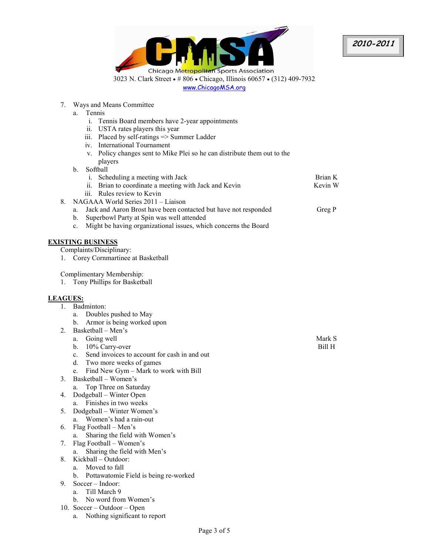

www.ChicagoMSA.org

7. Ways and Means Committee

a. Tennis

- i. Tennis Board members have 2-year appointments
- ii. USTA rates players this year
- iii. Placed by self-ratings => Summer Ladder
- iv. International Tournament
- v. Policy changes sent to Mike Plei so he can distribute them out to the players
- b. Softball

| i. Scheduling a meeting with Jack                     | Brian K |
|-------------------------------------------------------|---------|
| ii. Brian to coordinate a meeting with Jack and Kevin | Kevin W |
| iii. Rules review to Kevin                            |         |

- 8. NAGAAA World Series 2011 Liaison
	- a. Jack and Aaron Brost have been contacted but have not responded
	- b. Superbowl Party at Spin was well attended
	- c. Might be having organizational issues, which concerns the Board

#### **EXISTING BUSINESS**

Complaints/Disciplinary:

1. Corey Cornmartinee at Basketball

Complimentary Membership:

1. Tony Phillips for Basketball

## **LEAGUES:**

- 1. Badminton:
	- a. Doubles pushed to May
	- b. Armor is being worked upon
- 2. Basketball Men's
	- a. Going well
	- b. 10% Carry-over
	- c. Send invoices to account for cash in and out
	- d. Two more weeks of games
	- e. Find New Gym Mark to work with Bill
- 3. Basketball Women's
	- a. Top Three on Saturday
- 4. Dodgeball Winter Open a. Finishes in two weeks
- 5. Dodgeball Winter Women's a. Women's had a rain-out
- 6. Flag Football Men's
	- a. Sharing the field with Women's
- 7. Flag Football Women's
- a. Sharing the field with Men's
- 8. Kickball Outdoor:
	- a. Moved to fall
	- b. Pottawatomie Field is being re-worked
- 9. Soccer Indoor:
	- a. Till March 9
	- b. No word from Women's
- 10. Soccer Outdoor Open
	- a. Nothing significant to report

Mark S Bill H

Greg P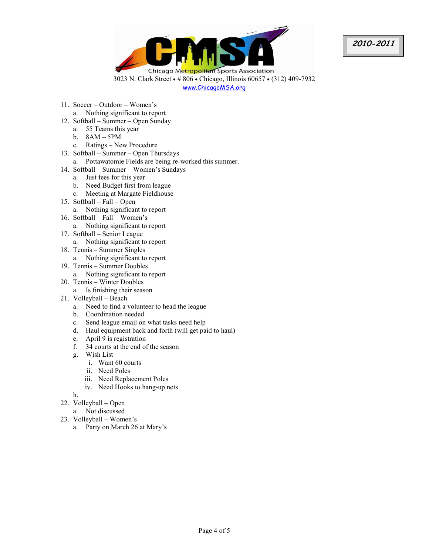

www.ChicagoMSA.org

- 11. Soccer Outdoor Women's
	- a. Nothing significant to report
- 12. Softball Summer Open Sunday
	- a. 55 Teams this year
	- b. 8AM 5PM
	- c. Ratings New Procedure
- 13. Softball Summer Open Thursdays
- a. Pottawatomie Fields are being re-worked this summer.
- 14. Softball Summer Women's Sundays
	- a. Just fees for this year
	- b. Need Budget first from league
	- c. Meeting at Margate Fieldhouse
- 15. Softball Fall Open
	- a. Nothing significant to report
- 16. Softball Fall Women's
	- a. Nothing significant to report
- 17. Softball Senior League
	- a. Nothing significant to report
- 18. Tennis Summer Singles
	- a. Nothing significant to report
- 19. Tennis Summer Doubles
	- a. Nothing significant to report
- 20. Tennis Winter Doubles
	- a. Is finishing their season
- 21. Volleyball Beach
	- a. Need to find a volunteer to head the league
	- b. Coordination needed
	- c. Send league email on what tasks need help
	- d. Haul equipment back and forth (will get paid to haul)
	- e. April 9 is registration
	- f. 34 courts at the end of the season
	- g. Wish List
		- i. Want 60 courts
		- ii. Need Poles
		- iii. Need Replacement Poles
		- iv. Need Hooks to hang-up nets

h.

- 22. Volleyball Open
	- a. Not discussed
- 23. Volleyball Women's
	- a. Party on March 26 at Mary's